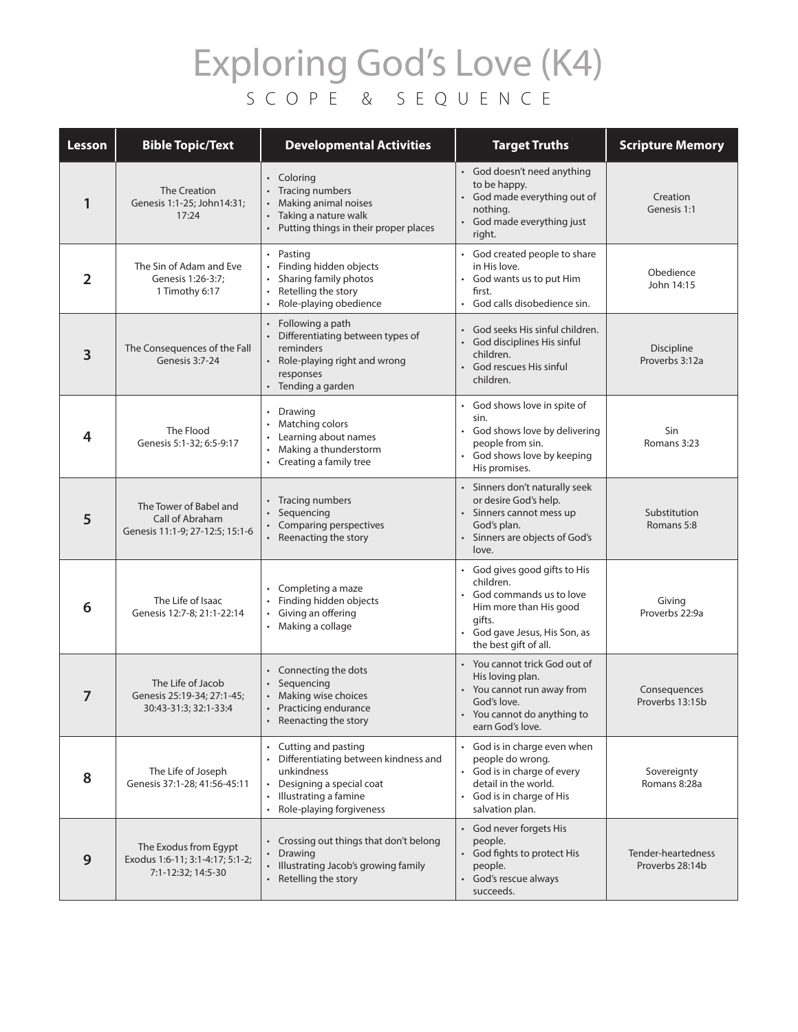## Exploring God's Love (K4) SCOPE & SEQUENCE

| Lesson         | <b>Bible Topic/Text</b>                                                        | <b>Developmental Activities</b>                                                                                                                                               | <b>Target Truths</b>                                                                                                                                            | <b>Scripture Memory</b>               |
|----------------|--------------------------------------------------------------------------------|-------------------------------------------------------------------------------------------------------------------------------------------------------------------------------|-----------------------------------------------------------------------------------------------------------------------------------------------------------------|---------------------------------------|
| 1              | The Creation<br>Genesis 1:1-25; John14:31;<br>17:24                            | • Coloring<br>• Tracing numbers<br>Making animal noises<br>Taking a nature walk<br>• Putting things in their proper places                                                    | • God doesn't need anything<br>to be happy.<br>God made everything out of<br>nothing.<br>God made everything just<br>right.                                     | Creation<br>Genesis 1:1               |
| $\overline{2}$ | The Sin of Adam and Eve<br>Genesis 1:26-3:7:<br>1 Timothy 6:17                 | • Pasting<br>• Finding hidden objects<br>Sharing family photos<br>Retelling the story<br>$\bullet$<br>• Role-playing obedience                                                | God created people to share<br>in His love.<br>God wants us to put Him<br>first.<br>God calls disobedience sin.                                                 | Obedience<br>John 14:15               |
| 3              | The Consequences of the Fall<br>Genesis 3:7-24                                 | Following a path<br>• Differentiating between types of<br>reminders<br>• Role-playing right and wrong<br>responses<br>• Tending a garden                                      | • God seeks His sinful children.<br>God disciplines His sinful<br>$\bullet$<br>children.<br>God rescues His sinful<br>children.                                 | Discipline<br>Proverbs 3:12a          |
| 4              | The Flood<br>Genesis 5:1-32; 6:5-9:17                                          | • Drawing<br>• Matching colors<br>• Learning about names<br>Making a thunderstorm<br>• Creating a family tree                                                                 | God shows love in spite of<br>sin.<br>God shows love by delivering<br>$\bullet$<br>people from sin.<br>God shows love by keeping<br>His promises.               | Sin<br>Romans 3:23                    |
| 5              | The Tower of Babel and<br>Call of Abraham<br>Genesis 11:1-9; 27-12:5; 15:1-6   | • Tracing numbers<br>Sequencing<br>• Comparing perspectives<br>• Reenacting the story                                                                                         | Sinners don't naturally seek<br>or desire God's help.<br>Sinners cannot mess up<br>God's plan.<br>Sinners are objects of God's<br>love.                         | Substitution<br>Romans 5:8            |
| 6              | The Life of Isaac<br>Genesis 12:7-8; 21:1-22:14                                | Completing a maze<br>• Finding hidden objects<br>Giving an offering<br>• Making a collage                                                                                     | God gives good gifts to His<br>children.<br>God commands us to love<br>Him more than His good<br>gifts.<br>God gave Jesus, His Son, as<br>the best gift of all. | Giving<br>Proverbs 22:9a              |
| 7              | The Life of Jacob<br>Genesis 25:19-34; 27:1-45;<br>30:43-31:3; 32:1-33:4       | • Connecting the dots<br>Sequencing<br>Making wise choices<br>• Practicing endurance<br>• Reenacting the story                                                                | • You cannot trick God out of<br>His loving plan.<br>You cannot run away from<br>God's love.<br>You cannot do anything to<br>earn God's love.                   | Consequences<br>Proverbs 13:15b       |
| 8              | The Life of Joseph<br>Genesis 37:1-28; 41:56-45:11                             | • Cutting and pasting<br>• Differentiating between kindness and<br>unkindness<br>Designing a special coat<br>$\bullet$<br>• Illustrating a famine<br>Role-playing forgiveness | God is in charge even when<br>people do wrong.<br>God is in charge of every<br>detail in the world.<br>God is in charge of His<br>salvation plan.               | Sovereignty<br>Romans 8:28a           |
| 9              | The Exodus from Egypt<br>Exodus 1:6-11; 3:1-4:17; 5:1-2;<br>7:1-12:32; 14:5-30 | • Crossing out things that don't belong<br>Drawing<br>• Illustrating Jacob's growing family<br>• Retelling the story                                                          | • God never forgets His<br>people.<br>• God fights to protect His<br>people.<br>God's rescue always<br>$\bullet$<br>succeeds.                                   | Tender-heartedness<br>Proverbs 28:14b |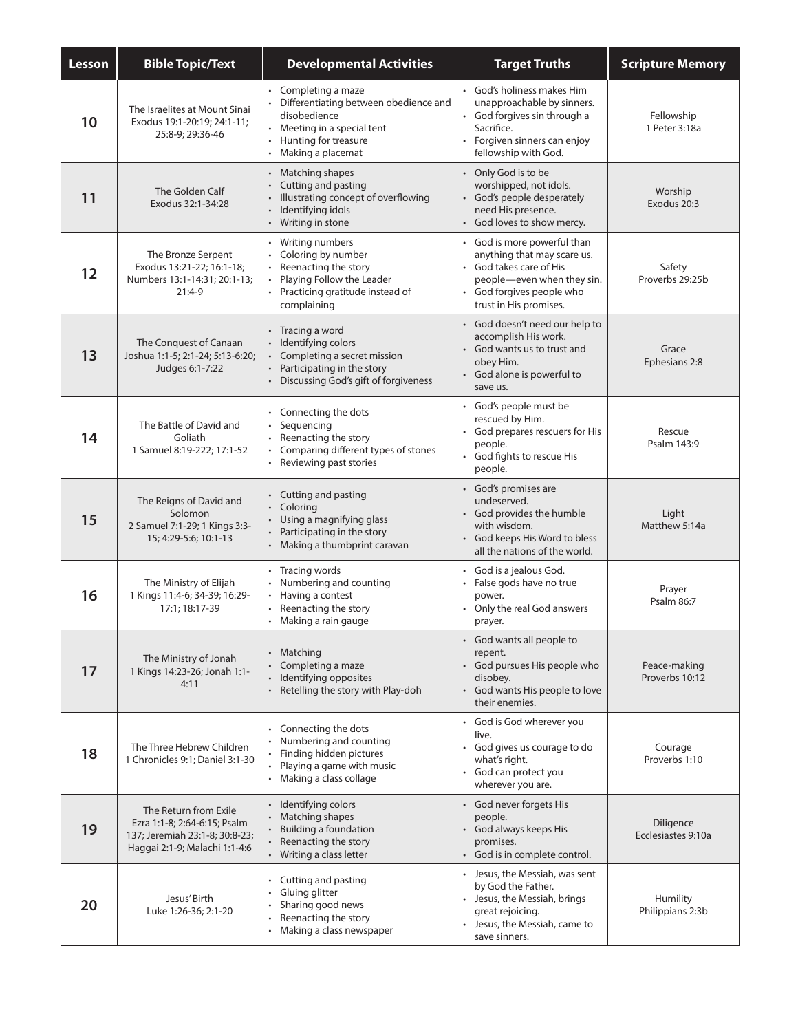| Lesson | <b>Bible Topic/Text</b>                                                                                                  | <b>Developmental Activities</b>                                                                                                                                       | <b>Target Truths</b>                                                                                                                                                     | <b>Scripture Memory</b>         |
|--------|--------------------------------------------------------------------------------------------------------------------------|-----------------------------------------------------------------------------------------------------------------------------------------------------------------------|--------------------------------------------------------------------------------------------------------------------------------------------------------------------------|---------------------------------|
| 10     | The Israelites at Mount Sinai<br>Exodus 19:1-20:19; 24:1-11;<br>25:8-9; 29:36-46                                         | • Completing a maze<br>Differentiating between obedience and<br>disobedience<br>• Meeting in a special tent<br>Hunting for treasure<br>Making a placemat<br>$\bullet$ | • God's holiness makes Him<br>unapproachable by sinners.<br>God forgives sin through a<br>Sacrifice.<br>Forgiven sinners can enjoy<br>fellowship with God.               | Fellowship<br>1 Peter 3:18a     |
| 11     | The Golden Calf<br>Exodus 32:1-34:28                                                                                     | Matching shapes<br>$\bullet$<br>Cutting and pasting<br>Illustrating concept of overflowing<br>Identifying idols<br>Writing in stone<br>$\bullet$                      | • Only God is to be<br>worshipped, not idols.<br>• God's people desperately<br>need His presence.<br>• God loves to show mercy.                                          | Worship<br>Exodus 20:3          |
| 12     | The Bronze Serpent<br>Exodus 13:21-22; 16:1-18;<br>Numbers 13:1-14:31; 20:1-13;<br>$21:4-9$                              | Writing numbers<br>Coloring by number<br>Reenacting the story<br>Playing Follow the Leader<br>Practicing gratitude instead of<br>complaining                          | God is more powerful than<br>anything that may scare us.<br>• God takes care of His<br>people-even when they sin.<br>• God forgives people who<br>trust in His promises. | Safety<br>Proverbs 29:25b       |
| 13     | The Conquest of Canaan<br>Joshua 1:1-5; 2:1-24; 5:13-6:20;<br>Judges 6:1-7:22                                            | • Tracing a word<br>Identifying colors<br>Completing a secret mission<br>Participating in the story<br>Discussing God's gift of forgiveness                           | • God doesn't need our help to<br>accomplish His work.<br>• God wants us to trust and<br>obey Him.<br>God alone is powerful to<br>save us.                               | Grace<br>Ephesians 2:8          |
| 14     | The Battle of David and<br>Goliath<br>1 Samuel 8:19-222; 17:1-52                                                         | Connecting the dots<br>Sequencing<br>Reenacting the story<br>Comparing different types of stones<br>Reviewing past stories<br>$\bullet$                               | God's people must be<br>rescued by Him.<br>• God prepares rescuers for His<br>people.<br>• God fights to rescue His<br>people.                                           | Rescue<br>Psalm 143:9           |
| 15     | The Reigns of David and<br>Solomon<br>2 Samuel 7:1-29; 1 Kings 3:3-<br>15; 4:29-5:6; 10:1-13                             | Cutting and pasting<br>Coloring<br>Using a magnifying glass<br>Participating in the story<br>Making a thumbprint caravan                                              | • God's promises are<br>undeserved.<br>• God provides the humble<br>with wisdom.<br>God keeps His Word to bless<br>all the nations of the world.                         | Light<br>Matthew 5:14a          |
| 16     | The Ministry of Elijah<br>1 Kings 11:4-6; 34-39; 16:29-<br>17:1; 18:17-39                                                | Tracing words<br>Numbering and counting<br>Having a contest<br>Reenacting the story<br>Making a rain gauge                                                            | God is a jealous God.<br>• False gods have no true<br>power.<br>Only the real God answers<br>prayer.                                                                     | Prayer<br>Psalm 86:7            |
| 17     | The Ministry of Jonah<br>1 Kings 14:23-26; Jonah 1:1-<br>4:11                                                            | Matching<br>Completing a maze<br>Identifying opposites<br>Retelling the story with Play-doh                                                                           | God wants all people to<br>repent.<br>• God pursues His people who<br>disobey.<br>• God wants His people to love<br>their enemies.                                       | Peace-making<br>Proverbs 10:12  |
| 18     | The Three Hebrew Children<br>1 Chronicles 9:1; Daniel 3:1-30                                                             | Connecting the dots<br>Numbering and counting<br>Finding hidden pictures<br>Playing a game with music<br>Making a class collage<br>$\bullet$                          | • God is God wherever you<br>live.<br>God gives us courage to do<br>what's right.<br>God can protect you<br>wherever you are.                                            | Courage<br>Proverbs 1:10        |
| 19     | The Return from Exile<br>Ezra 1:1-8; 2:64-6:15; Psalm<br>137; Jeremiah 23:1-8; 30:8-23;<br>Haggai 2:1-9; Malachi 1:1-4:6 | Identifying colors<br>Matching shapes<br><b>Building a foundation</b><br>Reenacting the story<br>• Writing a class letter                                             | • God never forgets His<br>people.<br>• God always keeps His<br>promises.<br>• God is in complete control.                                                               | Diligence<br>Ecclesiastes 9:10a |
| 20     | Jesus' Birth<br>Luke 1:26-36; 2:1-20                                                                                     | Cutting and pasting<br>Gluing glitter<br>Sharing good news<br>Reenacting the story<br>$\bullet$<br>Making a class newspaper<br>$\bullet$                              | Jesus, the Messiah, was sent<br>by God the Father.<br>Jesus, the Messiah, brings<br>great rejoicing.<br>Jesus, the Messiah, came to<br>save sinners.                     | Humility<br>Philippians 2:3b    |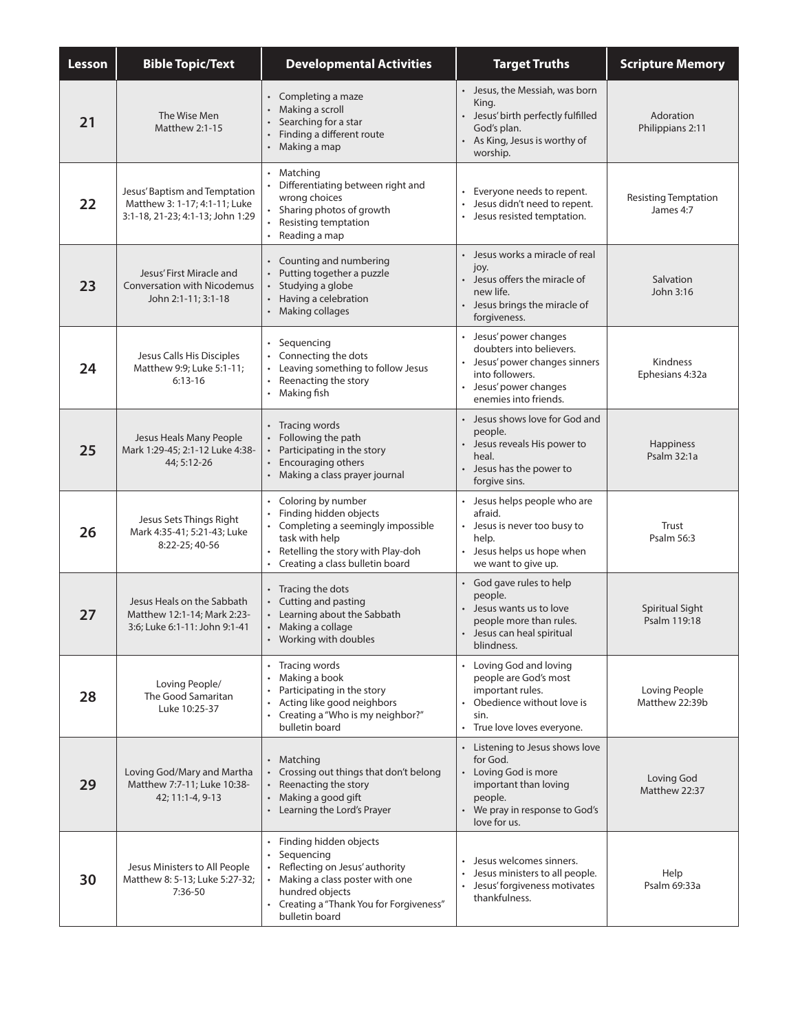| Lesson | <b>Bible Topic/Text</b>                                                                            | <b>Developmental Activities</b>                                                                                                                                                           | <b>Target Truths</b>                                                                                                                                    | <b>Scripture Memory</b>                  |
|--------|----------------------------------------------------------------------------------------------------|-------------------------------------------------------------------------------------------------------------------------------------------------------------------------------------------|---------------------------------------------------------------------------------------------------------------------------------------------------------|------------------------------------------|
| 21     | The Wise Men<br><b>Matthew 2:1-15</b>                                                              | Completing a maze<br>$\bullet$<br>Making a scroll<br>Searching for a star<br>Finding a different route<br>Making a map                                                                    | • Jesus, the Messiah, was born<br>King.<br>Jesus' birth perfectly fulfilled<br>God's plan.<br>As King, Jesus is worthy of<br>worship.                   | Adoration<br>Philippians 2:11            |
| 22     | Jesus' Baptism and Temptation<br>Matthew 3: 1-17; 4:1-11; Luke<br>3:1-18, 21-23; 4:1-13; John 1:29 | • Matching<br>Differentiating between right and<br>wrong choices<br>Sharing photos of growth<br>Resisting temptation<br>$\bullet$<br>Reading a map                                        | • Everyone needs to repent.<br>Jesus didn't need to repent.<br>Jesus resisted temptation.<br>$\bullet$                                                  | <b>Resisting Temptation</b><br>James 4:7 |
| 23     | Jesus' First Miracle and<br><b>Conversation with Nicodemus</b><br>John 2:1-11; 3:1-18              | • Counting and numbering<br>Putting together a puzzle<br>Studying a globe<br>Having a celebration<br>Making collages                                                                      | • Jesus works a miracle of real<br>joy.<br>• Jesus offers the miracle of<br>new life.<br>Jesus brings the miracle of<br>forgiveness.                    | Salvation<br>John 3:16                   |
| 24     | Jesus Calls His Disciples<br>Matthew 9:9; Luke 5:1-11;<br>$6:13-16$                                | Sequencing<br>Connecting the dots<br>Leaving something to follow Jesus<br>Reenacting the story<br>Making fish                                                                             | • Jesus' power changes<br>doubters into believers.<br>Jesus' power changes sinners<br>into followers.<br>Jesus' power changes<br>enemies into friends.  | Kindness<br>Ephesians 4:32a              |
| 25     | Jesus Heals Many People<br>Mark 1:29-45; 2:1-12 Luke 4:38-<br>44; 5:12-26                          | • Tracing words<br>Following the path<br>Participating in the story<br>Encouraging others<br>Making a class prayer journal                                                                | • Jesus shows love for God and<br>people.<br>Jesus reveals His power to<br>heal.<br>Jesus has the power to<br>forgive sins.                             | <b>Happiness</b><br>Psalm 32:1a          |
| 26     | Jesus Sets Things Right<br>Mark 4:35-41; 5:21-43; Luke<br>8:22-25; 40-56                           | Coloring by number<br>Finding hidden objects<br>Completing a seemingly impossible<br>task with help<br>Retelling the story with Play-doh<br>$\bullet$<br>Creating a class bulletin board  | Jesus helps people who are<br>afraid.<br>• Jesus is never too busy to<br>help.<br>• Jesus helps us hope when<br>we want to give up.                     | Trust<br>Psalm 56:3                      |
| 27     | Jesus Heals on the Sabbath<br>Matthew 12:1-14; Mark 2:23-<br>3:6; Luke 6:1-11: John 9:1-41         | • Tracing the dots<br>Cutting and pasting<br>Learning about the Sabbath<br>Making a collage<br>$\bullet$<br>Working with doubles                                                          | God gave rules to help<br>people.<br>Jesus wants us to love<br>people more than rules.<br>• Jesus can heal spiritual<br>blindness.                      | <b>Spiritual Sight</b><br>Psalm 119:18   |
| 28     | Loving People/<br>The Good Samaritan<br>Luke 10:25-37                                              | Tracing words<br>Making a book<br>Participating in the story<br>Acting like good neighbors<br>Creating a "Who is my neighbor?"<br>$\bullet$<br>bulletin board                             | • Loving God and loving<br>people are God's most<br>important rules.<br>Obedience without love is<br>sin.<br>• True love loves everyone.                | Loving People<br>Matthew 22:39b          |
| 29     | Loving God/Mary and Martha<br>Matthew 7:7-11; Luke 10:38-<br>42; 11:1-4, 9-13                      | Matching<br>$\bullet$<br>Crossing out things that don't belong<br>Reenacting the story<br>Making a good gift<br>Learning the Lord's Prayer<br>$\bullet$                                   | • Listening to Jesus shows love<br>for God.<br>Loving God is more<br>important than loving<br>people.<br>• We pray in response to God's<br>love for us. | Loving God<br>Matthew 22:37              |
| 30     | Jesus Ministers to All People<br>Matthew 8: 5-13; Luke 5:27-32;<br>7:36-50                         | Finding hidden objects<br>Sequencing<br>Reflecting on Jesus' authority<br>Making a class poster with one<br>hundred objects<br>• Creating a "Thank You for Forgiveness"<br>bulletin board | Jesus welcomes sinners.<br>Jesus ministers to all people.<br>• Jesus' forgiveness motivates<br>thankfulness.                                            | Help<br>Psalm 69:33a                     |